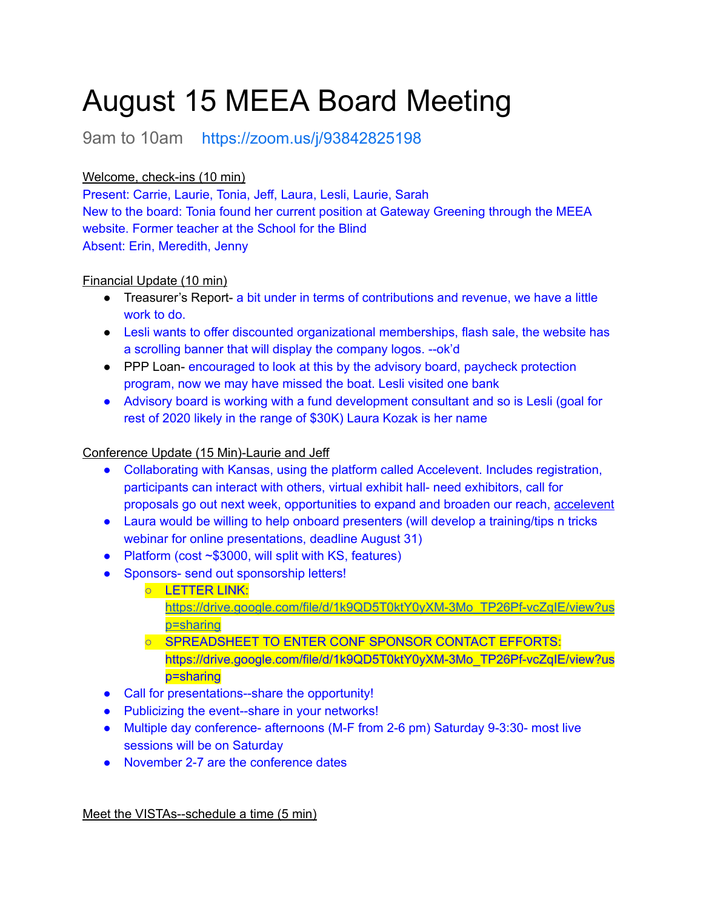# August 15 MEEA Board Meeting

9am to 10am <https://zoom.us/j/93842825198>

## Welcome, check-ins (10 min)

Present: Carrie, Laurie, Tonia, Jeff, Laura, Lesli, Laurie, Sarah New to the board: Tonia found her current position at Gateway Greening through the MEEA website. Former teacher at the School for the Blind Absent: Erin, Meredith, Jenny

## Financial Update (10 min)

- Treasurer's Report- a bit under in terms of contributions and revenue, we have a little work to do.
- Lesli wants to offer discounted organizational memberships, flash sale, the website has a scrolling banner that will display the company logos. --ok'd
- PPP Loan- encouraged to look at this by the advisory board, paycheck protection program, now we may have missed the boat. Lesli visited one bank
- Advisory board is working with a fund development consultant and so is Lesli (goal for rest of 2020 likely in the range of \$30K) Laura Kozak is her name

#### Conference Update (15 Min)-Laurie and Jeff

- Collaborating with Kansas, using the platform called Accelevent. Includes registration, participants can interact with others, virtual exhibit hall- need exhibitors, call for proposals go out next week, opportunities to expand and broaden our reach, [accelevent](https://www.accelevents.com/how-virtual-conferences-work/)
- Laura would be willing to help onboard presenters (will develop a training/tips n tricks webinar for online presentations, deadline August 31)
- Platform (cost ~\$3000, will split with KS, features)
- Sponsors- send out sponsorship letters!
	- LETTER LINK:
		- [https://drive.google.com/file/d/1k9QD5T0ktY0yXM-3Mo\\_TP26Pf-vcZqIE/view?us](https://drive.google.com/file/d/1k9QD5T0ktY0yXM-3Mo_TP26Pf-vcZqIE/view?usp=sharing) [p=sharing](https://drive.google.com/file/d/1k9QD5T0ktY0yXM-3Mo_TP26Pf-vcZqIE/view?usp=sharing)
	- SPREADSHEET TO ENTER CONF SPONSOR CONTACT EFFORTS: https://drive.google.com/file/d/1k9QD5T0ktY0yXM-3Mo\_TP26Pf-vcZqIE/view?us p=sharing
- Call for presentations--share the opportunity!
- Publicizing the event--share in your networks!
- Multiple day conference- afternoons (M-F from 2-6 pm) Saturday 9-3:30- most live sessions will be on Saturday
- November 2-7 are the conference dates

Meet the VISTAs--schedule a time (5 min)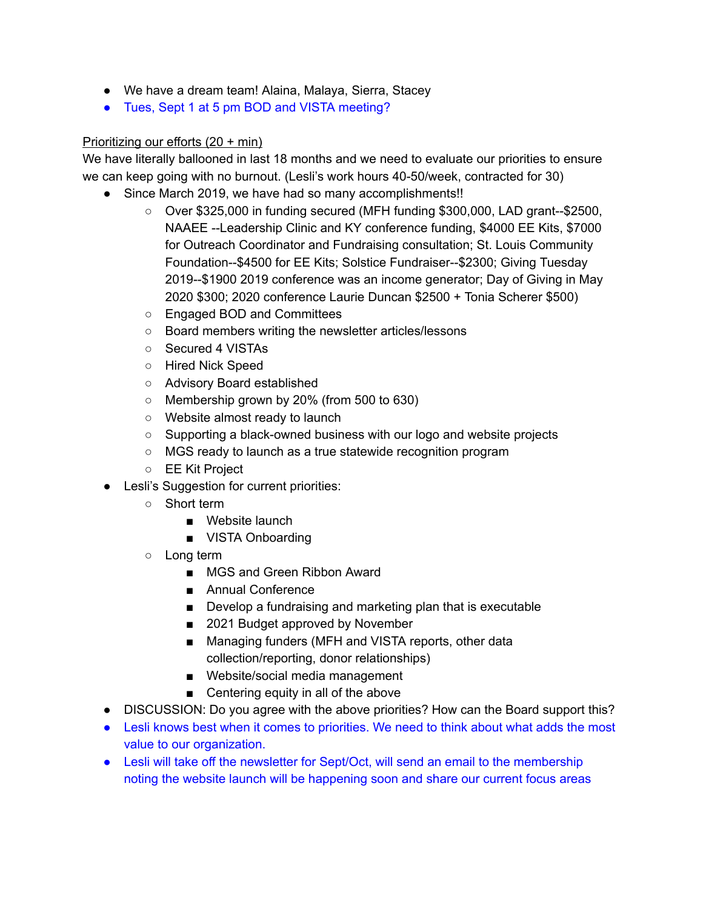- We have a dream team! Alaina, Malaya, Sierra, Stacey
- Tues, Sept 1 at 5 pm BOD and VISTA meeting?

#### Prioritizing our efforts (20 + min)

We have literally ballooned in last 18 months and we need to evaluate our priorities to ensure we can keep going with no burnout. (Lesli's work hours 40-50/week, contracted for 30)

- Since March 2019, we have had so many accomplishments!!
	- Over \$325,000 in funding secured (MFH funding \$300,000, LAD grant--\$2500, NAAEE --Leadership Clinic and KY conference funding, \$4000 EE Kits, \$7000 for Outreach Coordinator and Fundraising consultation; St. Louis Community Foundation--\$4500 for EE Kits; Solstice Fundraiser--\$2300; Giving Tuesday 2019--\$1900 2019 conference was an income generator; Day of Giving in May 2020 \$300; 2020 conference Laurie Duncan \$2500 + Tonia Scherer \$500)
	- Engaged BOD and Committees
	- Board members writing the newsletter articles/lessons
	- Secured 4 VISTAs
	- Hired Nick Speed
	- Advisory Board established
	- Membership grown by 20% (from 500 to 630)
	- Website almost ready to launch
	- Supporting a black-owned business with our logo and website projects
	- MGS ready to launch as a true statewide recognition program
	- EE Kit Project
- Lesli's Suggestion for current priorities:
	- Short term
		- Website launch
		- VISTA Onboarding
	- Long term
		- MGS and Green Ribbon Award
		- Annual Conference
		- Develop a fundraising and marketing plan that is executable
		- 2021 Budget approved by November
		- Managing funders (MFH and VISTA reports, other data collection/reporting, donor relationships)
		- Website/social media management
		- Centering equity in all of the above
- DISCUSSION: Do you agree with the above priorities? How can the Board support this?
- Lesli knows best when it comes to priorities. We need to think about what adds the most value to our organization.
- Lesli will take off the newsletter for Sept/Oct, will send an email to the membership noting the website launch will be happening soon and share our current focus areas